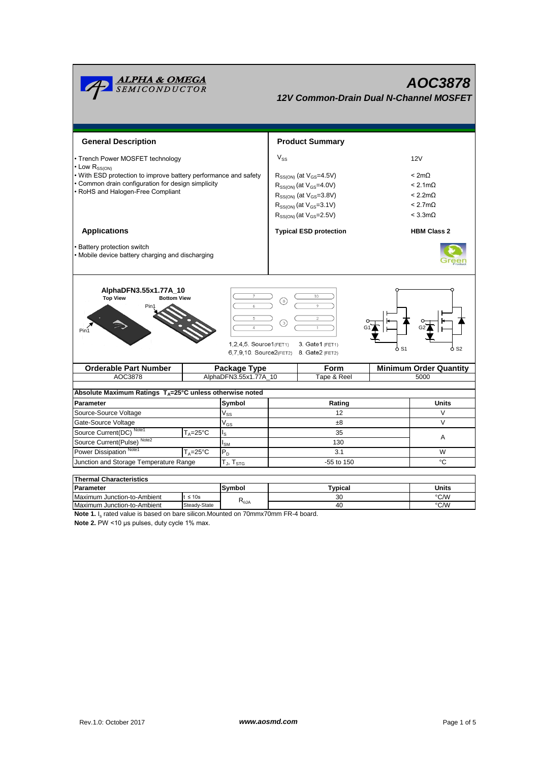| <u><b>ALPHA &amp; OMEGA</b><br/>SEMICONDUCTOR</u>                                                                                                                      |                     |                          |                                    | 12V Common-Drain Dual N-Channel MOSFET |    | AOC3878                       |  |  |  |
|------------------------------------------------------------------------------------------------------------------------------------------------------------------------|---------------------|--------------------------|------------------------------------|----------------------------------------|----|-------------------------------|--|--|--|
| <b>General Description</b>                                                                                                                                             |                     |                          |                                    | <b>Product Summary</b>                 |    |                               |  |  |  |
| • Trench Power MOSFET technology                                                                                                                                       |                     |                          | $V_{SS}$                           |                                        |    | 12V                           |  |  |  |
| • Low $R_{SS(ON)}$                                                                                                                                                     |                     |                          |                                    |                                        |    |                               |  |  |  |
| • With ESD protection to improve battery performance and safety                                                                                                        |                     |                          |                                    | $R_{SS(ON)}$ (at $V_{GS} = 4.5V$ )     |    | < 2m <sub>Ω</sub>             |  |  |  |
| • Common drain configuration for design simplicity<br>• RoHS and Halogen-Free Compliant                                                                                |                     |                          |                                    | $R_{SS(ON)}$ (at $V_{GS}$ =4.0V)       |    | $< 2.1 \text{m}\Omega$        |  |  |  |
|                                                                                                                                                                        |                     |                          | $R_{SS(ON)}$ (at $V_{GS} = 3.8V$ ) |                                        |    | $< 2.2 m\Omega$               |  |  |  |
|                                                                                                                                                                        |                     |                          |                                    | $R_{SS(ON)}$ (at $V_{GS}$ =3.1V)       |    | $< 2.7 \text{m}\Omega$        |  |  |  |
|                                                                                                                                                                        |                     |                          |                                    | $R_{SS(ON)}$ (at $V_{GS}$ =2.5V)       |    | $< 3.3 \text{mA}$             |  |  |  |
| <b>Applications</b>                                                                                                                                                    |                     |                          | <b>Typical ESD protection</b>      |                                        |    | <b>HBM Class 2</b>            |  |  |  |
| • Battery protection switch<br>• Mobile device battery charging and discharging                                                                                        |                     |                          |                                    |                                        |    |                               |  |  |  |
| AlphaDFN3.55x1.77A_10<br><b>Top View</b><br><b>Bottom View</b><br>1.2.4.5. Source1(FET1)<br>3. Gate1 (FET1)<br>ბ S1<br>ዕ S2<br>6,7,9,10. Source2(FET2) 8. Gate2 (FET2) |                     |                          |                                    |                                        |    |                               |  |  |  |
| <b>Orderable Part Number</b>                                                                                                                                           |                     | <b>Package Type</b>      |                                    | Form                                   |    | <b>Minimum Order Quantity</b> |  |  |  |
| AOC3878                                                                                                                                                                |                     | AlphaDFN3.55x1.77A_10    |                                    | Tape & Reel                            |    | 5000                          |  |  |  |
| Absolute Maximum Ratings $T_A = 25^\circ C$ unless otherwise noted                                                                                                     |                     |                          |                                    |                                        |    |                               |  |  |  |
| <b>Parameter</b>                                                                                                                                                       | Symbol              |                          | Rating                             |                                        |    | <b>Units</b>                  |  |  |  |
| Source-Source Voltage                                                                                                                                                  |                     | $V_{SS}$                 | 12                                 |                                        |    | V                             |  |  |  |
| Gate-Source Voltage                                                                                                                                                    |                     | $V_{GS}$                 | ±8                                 |                                        |    | V                             |  |  |  |
| Source Current(DC) Note1                                                                                                                                               | $T_A = 25^{\circ}C$ | ls                       |                                    | 35                                     |    | A                             |  |  |  |
| Source Current(Pulse) <sup>Note2</sup>                                                                                                                                 |                     | $\mathsf{I}_\mathsf{SM}$ | 130                                |                                        |    |                               |  |  |  |
| Power Dissipation <sup>Note1</sup>                                                                                                                                     | $T_A = 25^{\circ}C$ | $P_D$                    |                                    | 3.1                                    |    | W                             |  |  |  |
| Junction and Storage Temperature Range<br>$T_{\mathsf{J}}, T_{\mathsf{STG}}$                                                                                           |                     |                          |                                    | $-55$ to $150$                         | °C |                               |  |  |  |
| <b>Thermal Characteristics</b>                                                                                                                                         |                     |                          |                                    |                                        |    |                               |  |  |  |

| THEITIM UNAI ACCHISHUS      |              |                                   |         |       |  |  |  |  |
|-----------------------------|--------------|-----------------------------------|---------|-------|--|--|--|--|
| Parameter                   |              | Svmbol                            | Typical | Units |  |  |  |  |
| Maximum Junction-to-Ambient | $t \leq 10s$ |                                   | 30      | °C/W  |  |  |  |  |
| Maximum Junction-to-Ambient | Steady-State | $\mathsf{r}_{\theta \mathsf{JA}}$ | 40      | °C/W  |  |  |  |  |

**Note 1.** I<sub>s</sub> rated value is based on bare silicon.Mounted on 70mmx70mm FR-4 board.

**Note 2.** PW <10 μs pulses, duty cycle 1% max.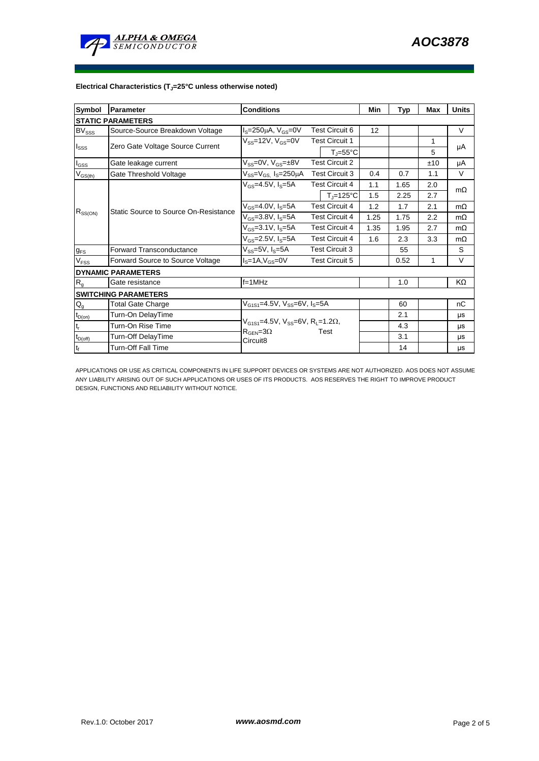

## **Electrical Characteristics (TJ=25°C unless otherwise noted)**

| <b>Symbol</b>             | Parameter                             | <b>Conditions</b>                                                                                                     | Min                   | Typ                   | Max  | <b>Units</b> |     |           |  |  |
|---------------------------|---------------------------------------|-----------------------------------------------------------------------------------------------------------------------|-----------------------|-----------------------|------|--------------|-----|-----------|--|--|
| <b>STATIC PARAMETERS</b>  |                                       |                                                                                                                       |                       |                       |      |              |     |           |  |  |
| <b>BV</b> sss             | Source-Source Breakdown Voltage       | <b>Test Circuit 6</b><br>$IS=250\mu A$ , $VGS=0V$                                                                     |                       |                       | 12   |              |     | $\vee$    |  |  |
| $I_{SSS}$                 | Zero Gate Voltage Source Current      | $V_{SS}$ =12V, $V_{GS}$ =0V<br><b>Test Circuit 1</b>                                                                  |                       |                       |      | 1            | μA  |           |  |  |
|                           |                                       |                                                                                                                       |                       | $T_i = 55^{\circ}C$   |      |              | 5   |           |  |  |
| $I_{GSS}$                 | Gate leakage current                  | $V_{SS} = 0V$ , $V_{GS} = \pm 8V$                                                                                     | <b>Test Circuit 2</b> |                       |      |              | ±10 | μA        |  |  |
| $V_{GS(th)}$              | Gate Threshold Voltage                | $V_{SS} = V_{GS}$ , $I_S = 250 \mu A$                                                                                 | <b>Test Circuit 3</b> |                       | 0.4  | 0.7          | 1.1 | $\vee$    |  |  |
| $R_{SS(ON)}$              | Static Source to Source On-Resistance | $V_{GS} = 4.5V, I_S = 5A$                                                                                             |                       | <b>Test Circuit 4</b> | 1.1  | 1.65         | 2.0 | $m\Omega$ |  |  |
|                           |                                       |                                                                                                                       |                       | $T_i = 125^{\circ}C$  | 1.5  | 2.25         | 2.7 |           |  |  |
|                           |                                       | $V_{GS} = 4.0 V, I_S = 5A$                                                                                            | <b>Test Circuit 4</b> |                       | 1.2  | 1.7          | 2.1 | $m\Omega$ |  |  |
|                           |                                       | $V_{GS} = 3.8 V, I_S = 5A$                                                                                            | <b>Test Circuit 4</b> |                       | 1.25 | 1.75         | 2.2 | $m\Omega$ |  |  |
|                           |                                       | $V_{GS} = 3.1 V, I_S = 5A$                                                                                            | <b>Test Circuit 4</b> |                       | 1.35 | 1.95         | 2.7 | $m\Omega$ |  |  |
|                           |                                       | $V_{GS} = 2.5V, I_S = 5A$                                                                                             | <b>Test Circuit 4</b> |                       | 1.6  | 2.3          | 3.3 | $m\Omega$ |  |  |
| $g_{FS}$                  | <b>Forward Transconductance</b>       | $V_{SS} = 5V$ , $I_S = 5A$                                                                                            |                       | <b>Test Circuit 3</b> |      | 55           |     | S         |  |  |
| V <sub>FSS</sub>          | Forward Source to Source Voltage      | $IS=1A, VGS=0V$                                                                                                       |                       | <b>Test Circuit 5</b> |      | 0.52         | 1   | $\vee$    |  |  |
|                           | <b>DYNAMIC PARAMETERS</b>             |                                                                                                                       |                       |                       |      |              |     |           |  |  |
| R <sub>g</sub>            | Gate resistance                       | $f = 1$ MHz                                                                                                           |                       |                       |      | 1.0          |     | KΩ        |  |  |
|                           | <b>ISWITCHING PARAMETERS</b>          |                                                                                                                       |                       |                       |      |              |     |           |  |  |
| $Q_{g}$                   | Total Gate Charge                     | $V_{G1S1} = 4.5V$ , $V_{SS} = 6V$ , $I_S = 5A$                                                                        |                       |                       |      | 60           |     | nC        |  |  |
| $t_{D(on)}$               | Turn-On DelayTime                     |                                                                                                                       |                       |                       |      | 2.1          |     | μs        |  |  |
| $\mathsf{t}_{\mathsf{r}}$ | Turn-On Rise Time                     | $V_{G1S1} = 4.5V$ , $V_{SS} = 6V$ , $R_1 = 1.2\Omega$ ,<br>$R_{\text{GEN}} = 3\Omega$<br>Test<br>Circuit <sub>8</sub> |                       |                       |      | 4.3          |     | μs        |  |  |
| $t_{D(off)}$              | Turn-Off DelayTime                    |                                                                                                                       |                       |                       |      | 3.1          |     | μs        |  |  |
| $\mathsf{t}_{\mathsf{f}}$ | <b>Turn-Off Fall Time</b>             |                                                                                                                       |                       |                       |      | 14           |     | μs        |  |  |

APPLICATIONS OR USE AS CRITICAL COMPONENTS IN LIFE SUPPORT DEVICES OR SYSTEMS ARE NOT AUTHORIZED. AOS DOES NOT ASSUME ANY LIABILITY ARISING OUT OF SUCH APPLICATIONS OR USES OF ITS PRODUCTS. AOS RESERVES THE RIGHT TO IMPROVE PRODUCT DESIGN, FUNCTIONS AND RELIABILITY WITHOUT NOTICE.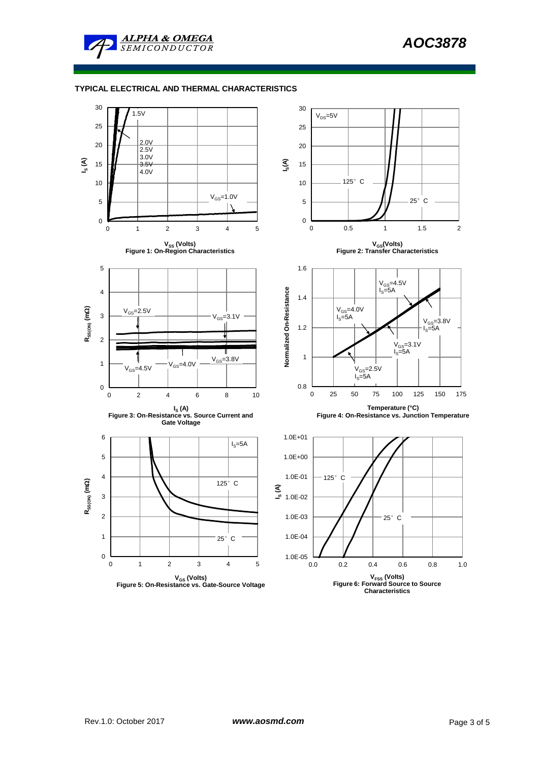

## **TYPICAL ELECTRICAL AND THERMAL CHARACTERISTICS**

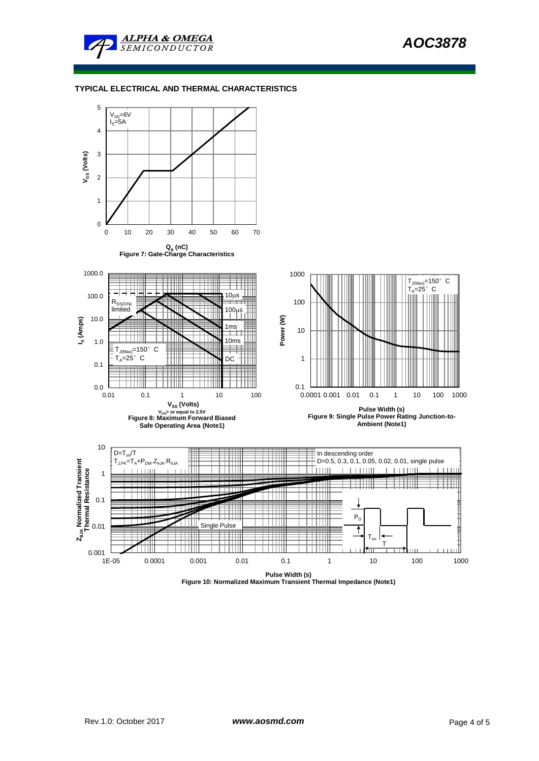

## **TYPICAL ELECTRICAL AND THERMAL CHARACTERISTICS**



**Figure 10: Normalized Maximum Transient Thermal Impedance (Note1)**